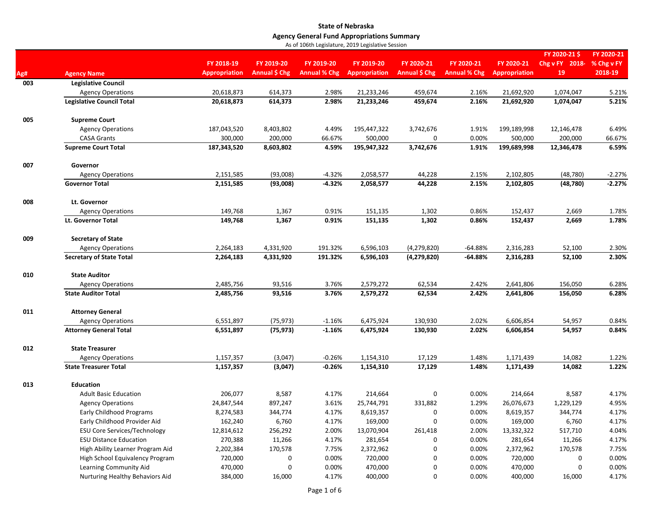|            |                                     |                                    |                             | <b>10 of 100th Legislature, 2015 Eegislative Session</b> |                                    |                             |                                   |                                    |                                      |                                     |
|------------|-------------------------------------|------------------------------------|-----------------------------|----------------------------------------------------------|------------------------------------|-----------------------------|-----------------------------------|------------------------------------|--------------------------------------|-------------------------------------|
|            | <b>Agency Name</b>                  | FY 2018-19<br><b>Appropriation</b> | FY 2019-20<br>Annual \$ Chg | FY 2019-20<br><b>Annual % Chg</b>                        | FY 2019-20<br><b>Appropriation</b> | FY 2020-21<br>Annual \$ Chg | FY 2020-21<br><b>Annual % Chg</b> | FY 2020-21<br><b>Appropriation</b> | FY 2020-21\$<br>Chg v FY 2018-<br>19 | FY 2020-21<br>% Chg v FY<br>2018-19 |
| Ag#<br>003 | <b>Legislative Council</b>          |                                    |                             |                                                          |                                    |                             |                                   |                                    |                                      |                                     |
|            | <b>Agency Operations</b>            | 20,618,873                         | 614,373                     | 2.98%                                                    | 21,233,246                         | 459,674                     | 2.16%                             | 21,692,920                         | 1,074,047                            | 5.21%                               |
|            | <b>Legislative Council Total</b>    | 20,618,873                         | 614,373                     | 2.98%                                                    | 21,233,246                         | 459,674                     | 2.16%                             | 21,692,920                         | 1,074,047                            | 5.21%                               |
| 005        | <b>Supreme Court</b>                |                                    |                             |                                                          |                                    |                             |                                   |                                    |                                      |                                     |
|            | <b>Agency Operations</b>            | 187,043,520                        | 8,403,802                   | 4.49%                                                    | 195,447,322                        | 3,742,676                   | 1.91%                             | 199,189,998                        | 12,146,478                           | 6.49%                               |
|            | <b>CASA Grants</b>                  | 300,000                            | 200,000                     | 66.67%                                                   | 500,000                            | 0                           | 0.00%                             | 500,000                            | 200,000                              | 66.67%                              |
|            | <b>Supreme Court Total</b>          | 187,343,520                        | 8,603,802                   | 4.59%                                                    | 195,947,322                        | 3,742,676                   | 1.91%                             | 199,689,998                        | 12,346,478                           | 6.59%                               |
| 007        | Governor                            |                                    |                             |                                                          |                                    |                             |                                   |                                    |                                      |                                     |
|            | <b>Agency Operations</b>            | 2,151,585                          | (93,008)                    | $-4.32%$                                                 | 2,058,577                          | 44,228                      | 2.15%                             | 2,102,805                          | (48, 780)                            | $-2.27%$                            |
|            | <b>Governor Total</b>               | 2,151,585                          | (93,008)                    | $-4.32%$                                                 | 2,058,577                          | 44,228                      | 2.15%                             | 2,102,805                          | (48, 780)                            | $-2.27%$                            |
| 008        | Lt. Governor                        |                                    |                             |                                                          |                                    |                             |                                   |                                    |                                      |                                     |
|            | <b>Agency Operations</b>            | 149,768                            | 1,367                       | 0.91%                                                    | 151,135                            | 1,302                       | 0.86%                             | 152,437                            | 2,669                                | 1.78%                               |
|            | Lt. Governor Total                  | 149,768                            | 1,367                       | 0.91%                                                    | 151,135                            | 1,302                       | 0.86%                             | 152,437                            | 2,669                                | 1.78%                               |
| 009        | <b>Secretary of State</b>           |                                    |                             |                                                          |                                    |                             |                                   |                                    |                                      |                                     |
|            | <b>Agency Operations</b>            | 2,264,183                          | 4,331,920                   | 191.32%                                                  | 6,596,103                          | (4, 279, 820)               | $-64.88%$                         | 2,316,283                          | 52,100                               | 2.30%                               |
|            | <b>Secretary of State Total</b>     | 2,264,183                          | 4,331,920                   | 191.32%                                                  | 6,596,103                          | (4, 279, 820)               | $-64.88%$                         | 2,316,283                          | 52,100                               | 2.30%                               |
| 010        | <b>State Auditor</b>                |                                    |                             |                                                          |                                    |                             |                                   |                                    |                                      |                                     |
|            | <b>Agency Operations</b>            | 2,485,756                          | 93,516                      | 3.76%                                                    | 2,579,272                          | 62,534                      | 2.42%                             | 2,641,806                          | 156,050                              | 6.28%                               |
|            | <b>State Auditor Total</b>          | 2,485,756                          | 93,516                      | 3.76%                                                    | 2,579,272                          | 62,534                      | 2.42%                             | 2,641,806                          | 156,050                              | 6.28%                               |
| 011        | <b>Attorney General</b>             |                                    |                             |                                                          |                                    |                             |                                   |                                    |                                      |                                     |
|            | <b>Agency Operations</b>            | 6,551,897                          | (75, 973)                   | $-1.16%$                                                 | 6,475,924                          | 130,930                     | 2.02%                             | 6,606,854                          | 54,957                               | 0.84%                               |
|            | <b>Attorney General Total</b>       | 6,551,897                          | (75, 973)                   | $-1.16%$                                                 | 6,475,924                          | 130,930                     | 2.02%                             | 6,606,854                          | 54,957                               | 0.84%                               |
| 012        | <b>State Treasurer</b>              |                                    |                             |                                                          |                                    |                             |                                   |                                    |                                      |                                     |
|            | <b>Agency Operations</b>            | 1,157,357                          | (3,047)                     | $-0.26%$                                                 | 1,154,310                          | 17,129                      | 1.48%                             | 1,171,439                          | 14,082                               | 1.22%                               |
|            | <b>State Treasurer Total</b>        | 1,157,357                          | (3,047)                     | $-0.26%$                                                 | 1,154,310                          | 17,129                      | 1.48%                             | 1,171,439                          | 14,082                               | 1.22%                               |
| 013        | <b>Education</b>                    |                                    |                             |                                                          |                                    |                             |                                   |                                    |                                      |                                     |
|            | <b>Adult Basic Education</b>        | 206,077                            | 8,587                       | 4.17%                                                    | 214,664                            | 0                           | 0.00%                             | 214,664                            | 8,587                                | 4.17%                               |
|            | <b>Agency Operations</b>            | 24,847,544                         | 897,247                     | 3.61%                                                    | 25,744,791                         | 331,882                     | 1.29%                             | 26,076,673                         | 1,229,129                            | 4.95%                               |
|            | <b>Early Childhood Programs</b>     | 8,274,583                          | 344,774                     | 4.17%                                                    | 8,619,357                          | 0                           | 0.00%                             | 8,619,357                          | 344,774                              | 4.17%                               |
|            | Early Childhood Provider Aid        | 162,240                            | 6,760                       | 4.17%                                                    | 169,000                            | 0                           | 0.00%                             | 169,000                            | 6,760                                | 4.17%                               |
|            | <b>ESU Core Services/Technology</b> | 12,814,612                         | 256,292                     | 2.00%                                                    | 13,070,904                         | 261,418                     | 2.00%                             | 13,332,322                         | 517,710                              | 4.04%                               |
|            | <b>ESU Distance Education</b>       | 270,388                            | 11,266                      | 4.17%                                                    | 281,654                            | 0                           | 0.00%                             | 281,654                            | 11,266                               | 4.17%                               |
|            | High Ability Learner Program Aid    | 2,202,384                          | 170,578                     | 7.75%                                                    | 2,372,962                          | 0                           | 0.00%                             | 2,372,962                          | 170,578                              | 7.75%                               |
|            | High School Equivalency Program     | 720,000                            | 0                           | 0.00%                                                    | 720,000                            | 0                           | 0.00%                             | 720,000                            | 0                                    | 0.00%                               |
|            | Learning Community Aid              | 470,000                            | $\mathbf 0$                 | 0.00%                                                    | 470,000                            | 0                           | 0.00%                             | 470,000                            | 0                                    | 0.00%                               |
|            | Nurturing Healthy Behaviors Aid     | 384,000                            | 16,000                      | 4.17%                                                    | 400,000                            | 0                           | 0.00%                             | 400,000                            | 16,000                               | 4.17%                               |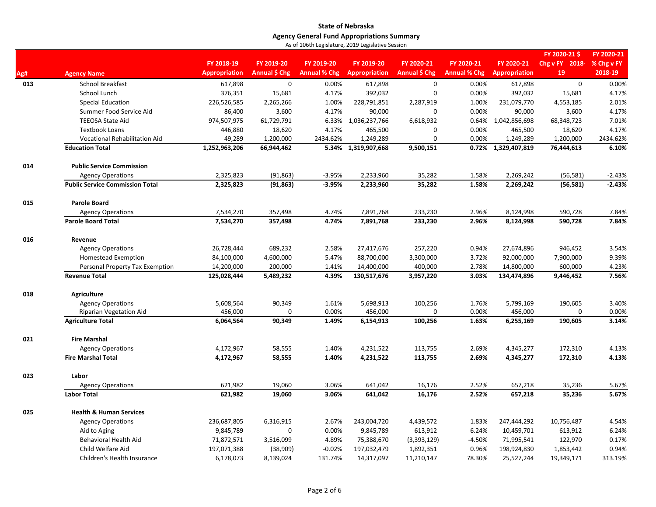|     |                                        | FY 2018-19           | FY 2019-20                                                                                                                                                                                                                                                                                                                                                                                                                                                                                                                                                                                                                                                                                                                                                                                                                                                                                                                                                                                                                                                                                                                                                                                                                                                                                                                                                                                                                                                                                                                                                                                                                                                                                                                                                                                                            | FY 2019-20          |                      | FY 2020-21           | FY 2020-21          | FY 2020-21           | Chg v FY 2018- |          |
|-----|----------------------------------------|----------------------|-----------------------------------------------------------------------------------------------------------------------------------------------------------------------------------------------------------------------------------------------------------------------------------------------------------------------------------------------------------------------------------------------------------------------------------------------------------------------------------------------------------------------------------------------------------------------------------------------------------------------------------------------------------------------------------------------------------------------------------------------------------------------------------------------------------------------------------------------------------------------------------------------------------------------------------------------------------------------------------------------------------------------------------------------------------------------------------------------------------------------------------------------------------------------------------------------------------------------------------------------------------------------------------------------------------------------------------------------------------------------------------------------------------------------------------------------------------------------------------------------------------------------------------------------------------------------------------------------------------------------------------------------------------------------------------------------------------------------------------------------------------------------------------------------------------------------|---------------------|----------------------|----------------------|---------------------|----------------------|----------------|----------|
| Ag# | <b>Agency Name</b>                     | <b>Appropriation</b> | <b>Annual \$ Chg</b>                                                                                                                                                                                                                                                                                                                                                                                                                                                                                                                                                                                                                                                                                                                                                                                                                                                                                                                                                                                                                                                                                                                                                                                                                                                                                                                                                                                                                                                                                                                                                                                                                                                                                                                                                                                                  | <b>Annual % Chg</b> | <b>Appropriation</b> | <b>Annual \$ Chg</b> | <b>Annual % Chg</b> | <b>Appropriation</b> | 19             | 2018-19  |
| 013 | <b>School Breakfast</b>                | 617,898              | $\mathbf 0$                                                                                                                                                                                                                                                                                                                                                                                                                                                                                                                                                                                                                                                                                                                                                                                                                                                                                                                                                                                                                                                                                                                                                                                                                                                                                                                                                                                                                                                                                                                                                                                                                                                                                                                                                                                                           | 0.00%               | 617,898              | $\mathsf 0$          | 0.00%               | 617,898              | $\mathbf 0$    | 0.00%    |
|     | School Lunch                           | 376,351              | 15,681                                                                                                                                                                                                                                                                                                                                                                                                                                                                                                                                                                                                                                                                                                                                                                                                                                                                                                                                                                                                                                                                                                                                                                                                                                                                                                                                                                                                                                                                                                                                                                                                                                                                                                                                                                                                                | 4.17%               | 392,032              | $\mathbf 0$          | 0.00%               | 392,032              | 15,681         | 4.17%    |
|     | <b>Special Education</b>               | 226,526,585          | 2,265,266                                                                                                                                                                                                                                                                                                                                                                                                                                                                                                                                                                                                                                                                                                                                                                                                                                                                                                                                                                                                                                                                                                                                                                                                                                                                                                                                                                                                                                                                                                                                                                                                                                                                                                                                                                                                             | 1.00%               |                      | 2,287,919            | 1.00%               | 231,079,770          | 4,553,185      | 2.01%    |
|     | Summer Food Service Aid                | 86,400               | 3,600                                                                                                                                                                                                                                                                                                                                                                                                                                                                                                                                                                                                                                                                                                                                                                                                                                                                                                                                                                                                                                                                                                                                                                                                                                                                                                                                                                                                                                                                                                                                                                                                                                                                                                                                                                                                                 | 4.17%               | 90,000               | $\mathbf 0$          | 0.00%               | 90,000               | 3,600          | 4.17%    |
|     | <b>TEEOSA State Aid</b>                | 974,507,975          | 61,729,791                                                                                                                                                                                                                                                                                                                                                                                                                                                                                                                                                                                                                                                                                                                                                                                                                                                                                                                                                                                                                                                                                                                                                                                                                                                                                                                                                                                                                                                                                                                                                                                                                                                                                                                                                                                                            | 6.33%               | 1,036,237,766        | 6,618,932            |                     |                      | 68,348,723     | 7.01%    |
|     | <b>Textbook Loans</b>                  | 446,880              | 18,620                                                                                                                                                                                                                                                                                                                                                                                                                                                                                                                                                                                                                                                                                                                                                                                                                                                                                                                                                                                                                                                                                                                                                                                                                                                                                                                                                                                                                                                                                                                                                                                                                                                                                                                                                                                                                | 4.17%               | 465,500              | $\mathbf 0$          | 0.00%               | 465,500              | 18,620         | 4.17%    |
|     | Vocational Rehabilitation Aid          | 49,289               | 1,200,000                                                                                                                                                                                                                                                                                                                                                                                                                                                                                                                                                                                                                                                                                                                                                                                                                                                                                                                                                                                                                                                                                                                                                                                                                                                                                                                                                                                                                                                                                                                                                                                                                                                                                                                                                                                                             | 2434.62%            | 1,249,289            | $\mathbf 0$          | 0.00%               | 1,249,289            | 1,200,000      | 2434.62% |
|     | <b>Education Total</b>                 | 1,252,963,206        | 66,944,462                                                                                                                                                                                                                                                                                                                                                                                                                                                                                                                                                                                                                                                                                                                                                                                                                                                                                                                                                                                                                                                                                                                                                                                                                                                                                                                                                                                                                                                                                                                                                                                                                                                                                                                                                                                                            | 5.34%               | 1,319,907,668        | 9,500,151            |                     | 1,329,407,819        | 76,444,613     | 6.10%    |
| 014 | <b>Public Service Commission</b>       |                      | FY 2020-21<br>FY 2020-21\$<br>FY 2019-20<br>% Chg v FY<br>228,791,851<br>0.64% 1,042,856,698<br>0.72%<br>(91, 863)<br>$-3.95%$<br>2,233,960<br>35,282<br>1.58%<br>2,269,242<br>(56, 581)<br>$-3.95%$<br>1.58%<br>(91, 863)<br>2,233,960<br>35,282<br>2,269,242<br>(56, 581)<br>7,891,768<br>233,230<br>2.96%<br>590,728<br>357,498<br>4.74%<br>8,124,998<br>357,498<br>4.74%<br>7,891,768<br>233,230<br>2.96%<br>8,124,998<br>590,728<br>689,232<br>27,417,676<br>257,220<br>27,674,896<br>946,452<br>2.58%<br>0.94%<br>4,600,000<br>88,700,000<br>3,300,000<br>3.72%<br>92,000,000<br>7,900,000<br>5.47%<br>200,000<br>1.41%<br>14,400,000<br>400,000<br>2.78%<br>14,800,000<br>600,000<br>5,489,232<br>4.39%<br>130,517,676<br>3,957,220<br>3.03%<br>134,474,896<br>9,446,452<br>90,349<br>1.61%<br>5,698,913<br>100,256<br>1.76%<br>5,799,169<br>190,605<br>456,000<br>$\mathbf 0$<br>0.00%<br>456,000<br>$\mathbf 0$<br>0.00%<br>456,000<br>$\mathbf 0$<br>3.14%<br>90,349<br>1.49%<br>6,154,913<br>100,256<br>1.63%<br>6,255,169<br>190,605<br>58,555<br>1.40%<br>4,231,522<br>113,755<br>2.69%<br>4,345,277<br>172,310<br>58,555<br>1.40%<br>4,231,522<br>113,755<br>2.69%<br>4,345,277<br>172,310<br>621,982<br>19,060<br>3.06%<br>641,042<br>16,176<br>2.52%<br>657,218<br>35,236<br>2.52%<br>621,982<br>19,060<br>3.06%<br>641,042<br>16,176<br>657,218<br>35,236<br>6,316,915<br>2.67%<br>243,004,720<br>4,439,572<br>1.83%<br>247,444,292<br>10,756,487<br>0<br>613,912<br>0.00%<br>9,845,789<br>6.24%<br>10,459,701<br>613,912<br>3,516,099<br>4.89%<br>75,388,670<br>(3,393,129)<br>$-4.50%$<br>122,970<br>71,995,541<br>$-0.02%$<br>197,032,479<br>1,892,351<br>0.96%<br>198,924,830<br>1,853,442<br>(38,909)<br>8,139,024<br>14,317,097<br>11,210,147<br>78.30%<br>25,527,244<br>19,349,171<br>131.74% |                     |                      |                      |                     |                      |                |          |
|     | <b>Agency Operations</b>               | 2,325,823            |                                                                                                                                                                                                                                                                                                                                                                                                                                                                                                                                                                                                                                                                                                                                                                                                                                                                                                                                                                                                                                                                                                                                                                                                                                                                                                                                                                                                                                                                                                                                                                                                                                                                                                                                                                                                                       |                     |                      |                      |                     |                      |                | $-2.43%$ |
|     | <b>Public Service Commission Total</b> | 2,325,823            |                                                                                                                                                                                                                                                                                                                                                                                                                                                                                                                                                                                                                                                                                                                                                                                                                                                                                                                                                                                                                                                                                                                                                                                                                                                                                                                                                                                                                                                                                                                                                                                                                                                                                                                                                                                                                       |                     |                      |                      |                     |                      |                | $-2.43%$ |
| 015 | <b>Parole Board</b>                    |                      |                                                                                                                                                                                                                                                                                                                                                                                                                                                                                                                                                                                                                                                                                                                                                                                                                                                                                                                                                                                                                                                                                                                                                                                                                                                                                                                                                                                                                                                                                                                                                                                                                                                                                                                                                                                                                       |                     |                      |                      |                     |                      |                |          |
|     | <b>Agency Operations</b>               | 7,534,270            |                                                                                                                                                                                                                                                                                                                                                                                                                                                                                                                                                                                                                                                                                                                                                                                                                                                                                                                                                                                                                                                                                                                                                                                                                                                                                                                                                                                                                                                                                                                                                                                                                                                                                                                                                                                                                       |                     |                      |                      |                     |                      |                | 7.84%    |
|     | <b>Parole Board Total</b>              | 7,534,270            |                                                                                                                                                                                                                                                                                                                                                                                                                                                                                                                                                                                                                                                                                                                                                                                                                                                                                                                                                                                                                                                                                                                                                                                                                                                                                                                                                                                                                                                                                                                                                                                                                                                                                                                                                                                                                       |                     |                      |                      |                     |                      |                | 7.84%    |
| 016 | Revenue                                |                      |                                                                                                                                                                                                                                                                                                                                                                                                                                                                                                                                                                                                                                                                                                                                                                                                                                                                                                                                                                                                                                                                                                                                                                                                                                                                                                                                                                                                                                                                                                                                                                                                                                                                                                                                                                                                                       |                     |                      |                      |                     |                      |                |          |
|     | <b>Agency Operations</b>               | 26,728,444           |                                                                                                                                                                                                                                                                                                                                                                                                                                                                                                                                                                                                                                                                                                                                                                                                                                                                                                                                                                                                                                                                                                                                                                                                                                                                                                                                                                                                                                                                                                                                                                                                                                                                                                                                                                                                                       |                     |                      |                      |                     |                      |                | 3.54%    |
|     | <b>Homestead Exemption</b>             | 84,100,000           |                                                                                                                                                                                                                                                                                                                                                                                                                                                                                                                                                                                                                                                                                                                                                                                                                                                                                                                                                                                                                                                                                                                                                                                                                                                                                                                                                                                                                                                                                                                                                                                                                                                                                                                                                                                                                       |                     |                      |                      |                     |                      |                | 9.39%    |
|     | Personal Property Tax Exemption        | 14,200,000           |                                                                                                                                                                                                                                                                                                                                                                                                                                                                                                                                                                                                                                                                                                                                                                                                                                                                                                                                                                                                                                                                                                                                                                                                                                                                                                                                                                                                                                                                                                                                                                                                                                                                                                                                                                                                                       |                     |                      |                      |                     |                      |                | 4.23%    |
|     | <b>Revenue Total</b>                   | 125,028,444          |                                                                                                                                                                                                                                                                                                                                                                                                                                                                                                                                                                                                                                                                                                                                                                                                                                                                                                                                                                                                                                                                                                                                                                                                                                                                                                                                                                                                                                                                                                                                                                                                                                                                                                                                                                                                                       |                     |                      |                      |                     |                      |                | 7.56%    |
| 018 | <b>Agriculture</b>                     |                      |                                                                                                                                                                                                                                                                                                                                                                                                                                                                                                                                                                                                                                                                                                                                                                                                                                                                                                                                                                                                                                                                                                                                                                                                                                                                                                                                                                                                                                                                                                                                                                                                                                                                                                                                                                                                                       |                     |                      |                      |                     |                      |                |          |
|     | <b>Agency Operations</b>               | 5,608,564            |                                                                                                                                                                                                                                                                                                                                                                                                                                                                                                                                                                                                                                                                                                                                                                                                                                                                                                                                                                                                                                                                                                                                                                                                                                                                                                                                                                                                                                                                                                                                                                                                                                                                                                                                                                                                                       |                     |                      |                      |                     |                      |                | 3.40%    |
|     | <b>Riparian Vegetation Aid</b>         |                      |                                                                                                                                                                                                                                                                                                                                                                                                                                                                                                                                                                                                                                                                                                                                                                                                                                                                                                                                                                                                                                                                                                                                                                                                                                                                                                                                                                                                                                                                                                                                                                                                                                                                                                                                                                                                                       |                     |                      |                      |                     |                      |                | 0.00%    |
|     | <b>Agriculture Total</b>               | 6,064,564            |                                                                                                                                                                                                                                                                                                                                                                                                                                                                                                                                                                                                                                                                                                                                                                                                                                                                                                                                                                                                                                                                                                                                                                                                                                                                                                                                                                                                                                                                                                                                                                                                                                                                                                                                                                                                                       |                     |                      |                      |                     |                      |                |          |
| 021 | <b>Fire Marshal</b>                    |                      |                                                                                                                                                                                                                                                                                                                                                                                                                                                                                                                                                                                                                                                                                                                                                                                                                                                                                                                                                                                                                                                                                                                                                                                                                                                                                                                                                                                                                                                                                                                                                                                                                                                                                                                                                                                                                       |                     |                      |                      |                     |                      |                |          |
|     | <b>Agency Operations</b>               | 4,172,967            |                                                                                                                                                                                                                                                                                                                                                                                                                                                                                                                                                                                                                                                                                                                                                                                                                                                                                                                                                                                                                                                                                                                                                                                                                                                                                                                                                                                                                                                                                                                                                                                                                                                                                                                                                                                                                       |                     |                      |                      |                     |                      |                | 4.13%    |
|     | <b>Fire Marshal Total</b>              | 4,172,967            |                                                                                                                                                                                                                                                                                                                                                                                                                                                                                                                                                                                                                                                                                                                                                                                                                                                                                                                                                                                                                                                                                                                                                                                                                                                                                                                                                                                                                                                                                                                                                                                                                                                                                                                                                                                                                       |                     |                      |                      |                     |                      |                | 4.13%    |
| 023 | Labor                                  |                      |                                                                                                                                                                                                                                                                                                                                                                                                                                                                                                                                                                                                                                                                                                                                                                                                                                                                                                                                                                                                                                                                                                                                                                                                                                                                                                                                                                                                                                                                                                                                                                                                                                                                                                                                                                                                                       |                     |                      |                      |                     |                      |                |          |
|     | <b>Agency Operations</b>               |                      |                                                                                                                                                                                                                                                                                                                                                                                                                                                                                                                                                                                                                                                                                                                                                                                                                                                                                                                                                                                                                                                                                                                                                                                                                                                                                                                                                                                                                                                                                                                                                                                                                                                                                                                                                                                                                       |                     |                      |                      |                     |                      |                | 5.67%    |
|     | <b>Labor Total</b>                     |                      |                                                                                                                                                                                                                                                                                                                                                                                                                                                                                                                                                                                                                                                                                                                                                                                                                                                                                                                                                                                                                                                                                                                                                                                                                                                                                                                                                                                                                                                                                                                                                                                                                                                                                                                                                                                                                       |                     |                      |                      |                     |                      |                | 5.67%    |
| 025 | <b>Health &amp; Human Services</b>     |                      |                                                                                                                                                                                                                                                                                                                                                                                                                                                                                                                                                                                                                                                                                                                                                                                                                                                                                                                                                                                                                                                                                                                                                                                                                                                                                                                                                                                                                                                                                                                                                                                                                                                                                                                                                                                                                       |                     |                      |                      |                     |                      |                |          |
|     | <b>Agency Operations</b>               | 236,687,805          |                                                                                                                                                                                                                                                                                                                                                                                                                                                                                                                                                                                                                                                                                                                                                                                                                                                                                                                                                                                                                                                                                                                                                                                                                                                                                                                                                                                                                                                                                                                                                                                                                                                                                                                                                                                                                       |                     |                      |                      |                     |                      |                | 4.54%    |
|     | Aid to Aging                           | 9,845,789            |                                                                                                                                                                                                                                                                                                                                                                                                                                                                                                                                                                                                                                                                                                                                                                                                                                                                                                                                                                                                                                                                                                                                                                                                                                                                                                                                                                                                                                                                                                                                                                                                                                                                                                                                                                                                                       |                     |                      |                      |                     |                      |                | 6.24%    |
|     | <b>Behavioral Health Aid</b>           | 71,872,571           |                                                                                                                                                                                                                                                                                                                                                                                                                                                                                                                                                                                                                                                                                                                                                                                                                                                                                                                                                                                                                                                                                                                                                                                                                                                                                                                                                                                                                                                                                                                                                                                                                                                                                                                                                                                                                       |                     |                      |                      |                     |                      |                | 0.17%    |
|     | Child Welfare Aid                      | 197,071,388          |                                                                                                                                                                                                                                                                                                                                                                                                                                                                                                                                                                                                                                                                                                                                                                                                                                                                                                                                                                                                                                                                                                                                                                                                                                                                                                                                                                                                                                                                                                                                                                                                                                                                                                                                                                                                                       |                     |                      |                      |                     |                      |                | 0.94%    |
|     | Children's Health Insurance            | 6,178,073            |                                                                                                                                                                                                                                                                                                                                                                                                                                                                                                                                                                                                                                                                                                                                                                                                                                                                                                                                                                                                                                                                                                                                                                                                                                                                                                                                                                                                                                                                                                                                                                                                                                                                                                                                                                                                                       |                     |                      |                      |                     |                      |                | 313.19%  |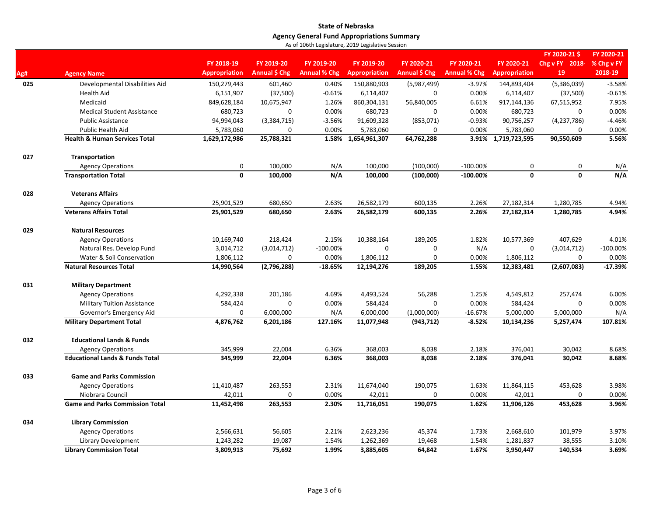|     |                                            |                      |               |                     |                      |               |                     |                      | FY 2020-21\$                                                                                                                                                                                                                                            | FY 2020-21 |
|-----|--------------------------------------------|----------------------|---------------|---------------------|----------------------|---------------|---------------------|----------------------|---------------------------------------------------------------------------------------------------------------------------------------------------------------------------------------------------------------------------------------------------------|------------|
|     |                                            | FY 2018-19           | FY 2019-20    | FY 2019-20          | FY 2019-20           | FY 2020-21    | FY 2020-21          | FY 2020-21           | Chg v FY 2018-                                                                                                                                                                                                                                          | % Chg v FY |
| Ag# | <b>Agency Name</b>                         | <b>Appropriation</b> | Annual \$ Chg | <b>Annual % Chg</b> | <b>Appropriation</b> | Annual \$ Chg | <b>Annual % Chg</b> | <b>Appropriation</b> | 19                                                                                                                                                                                                                                                      | 2018-19    |
| 025 | Developmental Disabilities Aid             | 150,279,443          | 601,460       | 0.40%               | 150,880,903          | (5,987,499)   | $-3.97%$            | 144,893,404          | (5,386,039)                                                                                                                                                                                                                                             | $-3.58%$   |
|     | <b>Health Aid</b>                          | 6,151,907            | (37,500)      | $-0.61%$            | 6,114,407            | $\mathbf 0$   | 0.00%               | 6,114,407            | (37,500)                                                                                                                                                                                                                                                | $-0.61%$   |
|     | Medicaid                                   | 849,628,184          | 10,675,947    | 1.26%               | 860,304,131          | 56,840,005    | 6.61%               | 917,144,136          | 67,515,952                                                                                                                                                                                                                                              | 7.95%      |
|     | <b>Medical Student Assistance</b>          | 680,723              | 0             | 0.00%               | 680,723              | $\Omega$      | 0.00%               | 680,723              | 0                                                                                                                                                                                                                                                       | 0.00%      |
|     | <b>Public Assistance</b>                   | 94,994,043           | (3,384,715)   | $-3.56%$            | 91,609,328           | (853,071)     | $-0.93%$            | 90,756,257           | (4, 237, 786)                                                                                                                                                                                                                                           | $-4.46%$   |
|     | Public Health Aid                          | 5,783,060            | 0             | 0.00%               | 5,783,060            | $\mathbf 0$   | 0.00%               | 5,783,060            | $\mathbf 0$                                                                                                                                                                                                                                             | 0.00%      |
|     | <b>Health &amp; Human Services Total</b>   | 1,629,172,986        | 25,788,321    | 1.58%               | 1,654,961,307        | 64,762,288    |                     | 3.91% 1,719,723,595  | 90,550,609                                                                                                                                                                                                                                              | 5.56%      |
| 027 | Transportation                             |                      |               |                     |                      |               |                     |                      |                                                                                                                                                                                                                                                         |            |
|     | <b>Agency Operations</b>                   | $\mathbf 0$          | 100,000       | N/A                 | 100,000              | (100,000)     | $-100.00\%$         | 0                    | 0<br>$\mathbf{0}$<br>$\mathbf{0}$<br>1,280,785<br>1,280,785<br>407,629<br>$\mathbf 0$<br>(3,014,712)<br>$\mathbf 0$<br>(2,607,083)<br>257,474<br>$\Omega$<br>5,000,000<br>5,257,474<br>30,042<br>30,042<br>453,628<br>$\mathbf 0$<br>453,628<br>101,979 | N/A        |
|     | <b>Transportation Total</b>                | $\mathbf{0}$         | 100,000       | N/A                 | 100,000              | (100,000)     | $-100.00%$          |                      |                                                                                                                                                                                                                                                         | N/A        |
| 028 | <b>Veterans Affairs</b>                    |                      |               |                     |                      |               |                     |                      |                                                                                                                                                                                                                                                         |            |
|     | <b>Agency Operations</b>                   | 25,901,529           | 680,650       | 2.63%               | 26,582,179           | 600,135       | 2.26%               | 27,182,314           |                                                                                                                                                                                                                                                         | 4.94%      |
|     | <b>Veterans Affairs Total</b>              | 25,901,529           | 680,650       | 2.63%               | 26,582,179           | 600,135       | 2.26%               | 27,182,314           |                                                                                                                                                                                                                                                         | 4.94%      |
| 029 | <b>Natural Resources</b>                   |                      |               |                     |                      |               |                     |                      |                                                                                                                                                                                                                                                         |            |
|     | <b>Agency Operations</b>                   | 10,169,740           | 218,424       | 2.15%               | 10,388,164           | 189,205       | 1.82%               | 10,577,369           |                                                                                                                                                                                                                                                         | 4.01%      |
|     | Natural Res. Develop Fund                  | 3,014,712            | (3,014,712)   | $-100.00\%$         | $\mathbf 0$          | $\mathbf 0$   | N/A                 |                      |                                                                                                                                                                                                                                                         | $-100.00%$ |
|     | Water & Soil Conservation                  | 1,806,112            | 0             | 0.00%               | 1,806,112            | $\mathbf 0$   | 0.00%               | 1,806,112            |                                                                                                                                                                                                                                                         | 0.00%      |
|     | <b>Natural Resources Total</b>             | 14,990,564           | (2,796,288)   | $-18.65%$           | 12,194,276           | 189,205       | 1.55%               | 12,383,481           |                                                                                                                                                                                                                                                         | $-17.39%$  |
| 031 | <b>Military Department</b>                 |                      |               |                     |                      |               |                     |                      |                                                                                                                                                                                                                                                         |            |
|     | <b>Agency Operations</b>                   | 4,292,338            | 201,186       | 4.69%               | 4,493,524            | 56,288        | 1.25%               | 4,549,812            |                                                                                                                                                                                                                                                         | 6.00%      |
|     | <b>Military Tuition Assistance</b>         | 584,424              | 0             | 0.00%               | 584,424              | $\mathbf 0$   | 0.00%               | 584,424              |                                                                                                                                                                                                                                                         | 0.00%      |
|     | Governor's Emergency Aid                   | $\mathbf 0$          | 6,000,000     | N/A                 | 6,000,000            | (1,000,000)   | $-16.67%$           | 5,000,000            |                                                                                                                                                                                                                                                         | N/A        |
|     | <b>Military Department Total</b>           | 4,876,762            | 6,201,186     | 127.16%             | 11,077,948           | (943, 712)    | $-8.52%$            | 10,134,236           |                                                                                                                                                                                                                                                         | 107.81%    |
| 032 | <b>Educational Lands &amp; Funds</b>       |                      |               |                     |                      |               |                     |                      |                                                                                                                                                                                                                                                         |            |
|     | <b>Agency Operations</b>                   | 345,999              | 22,004        | 6.36%               | 368,003              | 8,038         | 2.18%               | 376,041              |                                                                                                                                                                                                                                                         | 8.68%      |
|     | <b>Educational Lands &amp; Funds Total</b> | 345,999              | 22,004        | 6.36%               | 368,003              | 8,038         | 2.18%               | 376,041              |                                                                                                                                                                                                                                                         | 8.68%      |
| 033 | <b>Game and Parks Commission</b>           |                      |               |                     |                      |               |                     |                      |                                                                                                                                                                                                                                                         |            |
|     | <b>Agency Operations</b>                   | 11,410,487           | 263,553       | 2.31%               | 11,674,040           | 190,075       | 1.63%               | 11,864,115           |                                                                                                                                                                                                                                                         | 3.98%      |
|     | Niobrara Council                           | 42,011               | $\pmb{0}$     | 0.00%               | 42,011               | $\mathbf 0$   | 0.00%               | 42,011               |                                                                                                                                                                                                                                                         | 0.00%      |
|     | <b>Game and Parks Commission Total</b>     | 11,452,498           | 263,553       | 2.30%               | 11,716,051           | 190,075       | 1.62%               | 11,906,126           |                                                                                                                                                                                                                                                         | 3.96%      |
| 034 | <b>Library Commission</b>                  |                      |               |                     |                      |               |                     |                      |                                                                                                                                                                                                                                                         |            |
|     | <b>Agency Operations</b>                   | 2,566,631            | 56,605        | 2.21%               | 2,623,236            | 45,374        | 1.73%               | 2,668,610            |                                                                                                                                                                                                                                                         | 3.97%      |
|     | Library Development                        | 1,243,282            | 19,087        | 1.54%               | 1,262,369            | 19,468        | 1.54%               | 1,281,837            | 38,555                                                                                                                                                                                                                                                  | 3.10%      |
|     | <b>Library Commission Total</b>            | 3,809,913            | 75,692        | 1.99%               | 3,885,605            | 64,842        | 1.67%               | 3,950,447            | 140,534                                                                                                                                                                                                                                                 | 3.69%      |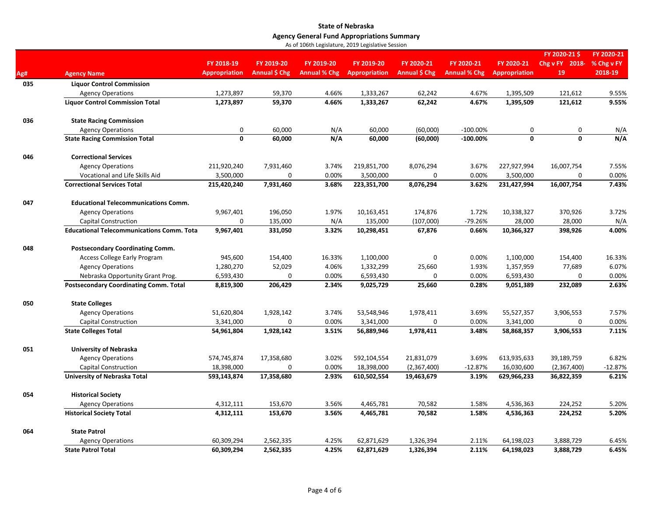|     |                                                   |                      |               |                     |                      |               |                     |               | FY 2020-21\$   | FY 2020-21 |
|-----|---------------------------------------------------|----------------------|---------------|---------------------|----------------------|---------------|---------------------|---------------|----------------|------------|
|     |                                                   | FY 2018-19           | FY 2019-20    | FY 2019-20          | FY 2019-20           | FY 2020-21    | FY 2020-21          | FY 2020-21    | Chg v FY 2018- | % Chg v FY |
| Ag# | <b>Agency Name</b>                                | <b>Appropriation</b> | Annual \$ Chg | <b>Annual % Chg</b> | <b>Appropriation</b> | Annual \$ Chg | <b>Annual % Chg</b> | Appropriation | 19             | 2018-19    |
| 035 | <b>Liquor Control Commission</b>                  |                      |               |                     |                      |               |                     |               |                |            |
|     | <b>Agency Operations</b>                          | 1,273,897            | 59,370        | 4.66%               | 1,333,267            | 62,242        | 4.67%               | 1,395,509     | 121,612        | 9.55%      |
|     | <b>Liquor Control Commission Total</b>            | 1,273,897            | 59,370        | 4.66%               | 1,333,267            | 62,242        | 4.67%               | 1,395,509     | 121,612        | 9.55%      |
| 036 | <b>State Racing Commission</b>                    |                      |               |                     |                      |               |                     |               |                |            |
|     | <b>Agency Operations</b>                          | 0                    | 60,000        | N/A                 | 60,000               | (60,000)      | $-100.00\%$         | 0             | 0              | N/A        |
|     | <b>State Racing Commission Total</b>              | $\mathbf 0$          | 60,000        | N/A                 | 60,000               | (60,000)      | $-100.00\%$         | $\mathbf{0}$  | 0              | N/A        |
| 046 | <b>Correctional Services</b>                      |                      |               |                     |                      |               |                     |               |                |            |
|     | <b>Agency Operations</b>                          | 211,920,240          | 7,931,460     | 3.74%               | 219,851,700          | 8,076,294     | 3.67%               | 227,927,994   | 16,007,754     | 7.55%      |
|     | Vocational and Life Skills Aid                    | 3,500,000            | $\Omega$      | 0.00%               | 3,500,000            | 0             | 0.00%               | 3,500,000     | $\Omega$       | 0.00%      |
|     | <b>Correctional Services Total</b>                | 215,420,240          | 7,931,460     | 3.68%               | 223,351,700          | 8,076,294     | 3.62%               | 231,427,994   | 16,007,754     | 7.43%      |
| 047 | <b>Educational Telecommunications Comm.</b>       |                      |               |                     |                      |               |                     |               |                |            |
|     | <b>Agency Operations</b>                          | 9,967,401            | 196,050       | 1.97%               | 10,163,451           | 174,876       | 1.72%               | 10,338,327    | 370,926        | 3.72%      |
|     | <b>Capital Construction</b>                       | $\mathbf 0$          | 135,000       | N/A                 | 135,000              | (107,000)     | -79.26%             | 28,000        | 28,000         | N/A        |
|     | <b>Educational Telecommunications Comm. Total</b> | 9,967,401            | 331,050       | 3.32%               | 10,298,451           | 67,876        | 0.66%               | 10,366,327    | 398,926        | 4.00%      |
| 048 | <b>Postsecondary Coordinating Comm.</b>           |                      |               |                     |                      |               |                     |               |                |            |
|     | <b>Access College Early Program</b>               | 945,600              | 154,400       | 16.33%              | 1,100,000            | 0             | 0.00%               | 1,100,000     | 154,400        | 16.33%     |
|     | <b>Agency Operations</b>                          | 1,280,270            | 52,029        | 4.06%               | 1,332,299            | 25,660        | 1.93%               | 1,357,959     | 77,689         | 6.07%      |
|     | Nebraska Opportunity Grant Prog.                  | 6,593,430            | $\Omega$      | 0.00%               | 6,593,430            | 0             | 0.00%               | 6,593,430     | $\Omega$       | 0.00%      |
|     | <b>Postsecondary Coordinating Comm. Total</b>     | 8,819,300            | 206,429       | 2.34%               | 9,025,729            | 25,660        | 0.28%               | 9,051,389     | 232,089        | 2.63%      |
| 050 | <b>State Colleges</b>                             |                      |               |                     |                      |               |                     |               |                |            |
|     | <b>Agency Operations</b>                          | 51,620,804           | 1,928,142     | 3.74%               | 53,548,946           | 1,978,411     | 3.69%               | 55,527,357    | 3,906,553      | 7.57%      |
|     | <b>Capital Construction</b>                       | 3,341,000            | 0             | 0.00%               | 3,341,000            | 0             | 0.00%               | 3,341,000     | 0              | 0.00%      |
|     | <b>State Colleges Total</b>                       | 54,961,804           | 1,928,142     | 3.51%               | 56,889,946           | 1,978,411     | 3.48%               | 58,868,357    | 3,906,553      | 7.11%      |
| 051 | <b>University of Nebraska</b>                     |                      |               |                     |                      |               |                     |               |                |            |
|     | <b>Agency Operations</b>                          | 574,745,874          | 17,358,680    | 3.02%               | 592,104,554          | 21,831,079    | 3.69%               | 613,935,633   | 39,189,759     | 6.82%      |
|     | Capital Construction                              | 18,398,000           | 0             | 0.00%               | 18,398,000           | (2,367,400)   | $-12.87%$           | 16,030,600    | (2,367,400)    | $-12.87%$  |
|     | University of Nebraska Total                      | 593,143,874          | 17,358,680    | 2.93%               | 610,502,554          | 19,463,679    | 3.19%               | 629,966,233   | 36,822,359     | 6.21%      |
| 054 | <b>Historical Society</b>                         |                      |               |                     |                      |               |                     |               |                |            |
|     | <b>Agency Operations</b>                          | 4,312,111            | 153,670       | 3.56%               | 4,465,781            | 70,582        | 1.58%               | 4,536,363     | 224,252        | 5.20%      |
|     | <b>Historical Society Total</b>                   | 4,312,111            | 153,670       | 3.56%               | 4,465,781            | 70,582        | 1.58%               | 4,536,363     | 224,252        | 5.20%      |
| 064 | <b>State Patrol</b>                               |                      |               |                     |                      |               |                     |               |                |            |
|     | <b>Agency Operations</b>                          | 60,309,294           | 2,562,335     | 4.25%               | 62,871,629           | 1,326,394     | 2.11%               | 64,198,023    | 3,888,729      | 6.45%      |
|     | <b>State Patrol Total</b>                         | 60,309,294           | 2,562,335     | 4.25%               | 62,871,629           | 1,326,394     | 2.11%               | 64,198,023    | 3,888,729      | 6.45%      |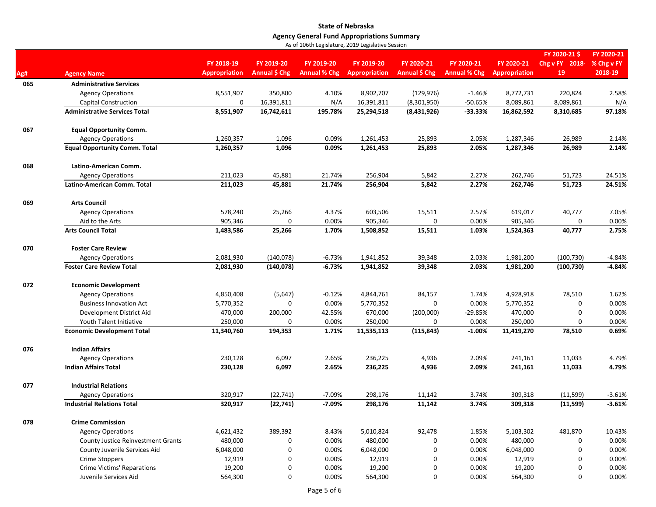|     |                                           |                      |               |                     |                      |                                                                                                                                                                                                                                                                                                                                                                                                                                                                                                                                                                                                                                                                                                                                                                                                                                                                                                                                                                                                                                                                                                                                                     |            |                      | FY 2020-21\$   | FY 2020-21 |
|-----|-------------------------------------------|----------------------|---------------|---------------------|----------------------|-----------------------------------------------------------------------------------------------------------------------------------------------------------------------------------------------------------------------------------------------------------------------------------------------------------------------------------------------------------------------------------------------------------------------------------------------------------------------------------------------------------------------------------------------------------------------------------------------------------------------------------------------------------------------------------------------------------------------------------------------------------------------------------------------------------------------------------------------------------------------------------------------------------------------------------------------------------------------------------------------------------------------------------------------------------------------------------------------------------------------------------------------------|------------|----------------------|----------------|------------|
|     |                                           | FY 2018-19           | FY 2019-20    | FY 2019-20          |                      | FY 2020-21                                                                                                                                                                                                                                                                                                                                                                                                                                                                                                                                                                                                                                                                                                                                                                                                                                                                                                                                                                                                                                                                                                                                          | FY 2020-21 |                      | Chg v FY 2018- | % Chg v FY |
| Ag# | <b>Agency Name</b>                        | <b>Appropriation</b> | Annual \$ Chg | <b>Annual % Chg</b> | <b>Appropriation</b> |                                                                                                                                                                                                                                                                                                                                                                                                                                                                                                                                                                                                                                                                                                                                                                                                                                                                                                                                                                                                                                                                                                                                                     |            | <b>Appropriation</b> | 19             | 2018-19    |
| 065 | <b>Administrative Services</b>            |                      |               |                     |                      |                                                                                                                                                                                                                                                                                                                                                                                                                                                                                                                                                                                                                                                                                                                                                                                                                                                                                                                                                                                                                                                                                                                                                     |            |                      |                |            |
|     | <b>Agency Operations</b>                  | 8,551,907            | 350,800       | 4.10%               |                      |                                                                                                                                                                                                                                                                                                                                                                                                                                                                                                                                                                                                                                                                                                                                                                                                                                                                                                                                                                                                                                                                                                                                                     | $-1.46%$   | 8,772,731            | 220,824        | 2.58%      |
|     | <b>Capital Construction</b>               | 0                    | 16,391,811    | N/A                 |                      | FY 2019-20<br>FY 2020-21<br><b>Annual \$ Chg</b><br><b>Annual % Chg</b><br>8,902,707<br>(129, 976)<br>16,391,811<br>(8,301,950)<br>$-50.65%$<br>8,089,861<br>$-33.33%$<br>25,294,518<br>(8,431,926)<br>16,862,592<br>25,893<br>1,287,346<br>1,261,453<br>2.05%<br>2.05%<br>1,261,453<br>25,893<br>1,287,346<br>256,904<br>5,842<br>2.27%<br>262,746<br>256,904<br>5,842<br>2.27%<br>262,746<br>603,506<br>15,511<br>2.57%<br>619,017<br>905,346<br>0<br>0.00%<br>905,346<br>1,508,852<br>15,511<br>1.03%<br>1,524,363<br>1,941,852<br>39,348<br>2.03%<br>1,981,200<br>2.03%<br>1,941,852<br>39,348<br>1,981,200<br>4,928,918<br>4,844,761<br>84,157<br>1.74%<br>5,770,352<br>$\mathbf 0$<br>0.00%<br>5,770,352<br>670,000<br>(200,000)<br>$-29.85%$<br>470,000<br>250,000<br>250,000<br>0<br>0.00%<br>11,535,113<br>(115, 843)<br>$-1.00%$<br>11,419,270<br>236,225<br>4,936<br>2.09%<br>241,161<br>236,225<br>4,936<br>2.09%<br>241,161<br>298,176<br>11,142<br>3.74%<br>309,318<br>298,176<br>3.74%<br>309,318<br>11,142<br>92,478<br>5,010,824<br>1.85%<br>5,103,302<br>480,000<br>0.00%<br>480,000<br>0<br>6,048,000<br>0<br>0.00%<br>6,048,000 | 8,089,861  | N/A                  |                |            |
|     | <b>Administrative Services Total</b>      | 8,551,907            | 16,742,611    | 195.78%             |                      |                                                                                                                                                                                                                                                                                                                                                                                                                                                                                                                                                                                                                                                                                                                                                                                                                                                                                                                                                                                                                                                                                                                                                     |            |                      | 8,310,685      | 97.18%     |
| 067 | <b>Equal Opportunity Comm.</b>            |                      |               |                     |                      |                                                                                                                                                                                                                                                                                                                                                                                                                                                                                                                                                                                                                                                                                                                                                                                                                                                                                                                                                                                                                                                                                                                                                     |            |                      |                |            |
|     | <b>Agency Operations</b>                  | 1,260,357            | 1,096         | 0.09%               |                      |                                                                                                                                                                                                                                                                                                                                                                                                                                                                                                                                                                                                                                                                                                                                                                                                                                                                                                                                                                                                                                                                                                                                                     |            |                      | 26,989         | 2.14%      |
|     | <b>Equal Opportunity Comm. Total</b>      | 1,260,357            | 1,096         | 0.09%               |                      |                                                                                                                                                                                                                                                                                                                                                                                                                                                                                                                                                                                                                                                                                                                                                                                                                                                                                                                                                                                                                                                                                                                                                     |            |                      | 26,989         | 2.14%      |
| 068 | Latino-American Comm.                     |                      |               |                     |                      |                                                                                                                                                                                                                                                                                                                                                                                                                                                                                                                                                                                                                                                                                                                                                                                                                                                                                                                                                                                                                                                                                                                                                     |            |                      |                |            |
|     | <b>Agency Operations</b>                  | 211,023              | 45,881        | 21.74%              |                      |                                                                                                                                                                                                                                                                                                                                                                                                                                                                                                                                                                                                                                                                                                                                                                                                                                                                                                                                                                                                                                                                                                                                                     |            |                      | 51,723         | 24.51%     |
|     | Latino-American Comm. Total               | 211,023              | 45,881        | 21.74%              |                      |                                                                                                                                                                                                                                                                                                                                                                                                                                                                                                                                                                                                                                                                                                                                                                                                                                                                                                                                                                                                                                                                                                                                                     |            |                      | 51,723         | 24.51%     |
| 069 | <b>Arts Council</b>                       |                      |               |                     |                      |                                                                                                                                                                                                                                                                                                                                                                                                                                                                                                                                                                                                                                                                                                                                                                                                                                                                                                                                                                                                                                                                                                                                                     |            |                      |                |            |
|     | <b>Agency Operations</b>                  | 578,240              | 25,266        | 4.37%               |                      |                                                                                                                                                                                                                                                                                                                                                                                                                                                                                                                                                                                                                                                                                                                                                                                                                                                                                                                                                                                                                                                                                                                                                     |            |                      | 40,777         | 7.05%      |
|     | Aid to the Arts                           | 905,346              | 0             | 0.00%               |                      |                                                                                                                                                                                                                                                                                                                                                                                                                                                                                                                                                                                                                                                                                                                                                                                                                                                                                                                                                                                                                                                                                                                                                     |            |                      | $\mathbf 0$    | 0.00%      |
|     | <b>Arts Council Total</b>                 | 1,483,586            | 25,266        | 1.70%               |                      |                                                                                                                                                                                                                                                                                                                                                                                                                                                                                                                                                                                                                                                                                                                                                                                                                                                                                                                                                                                                                                                                                                                                                     |            |                      | 40,777         | 2.75%      |
| 070 | <b>Foster Care Review</b>                 |                      |               |                     |                      |                                                                                                                                                                                                                                                                                                                                                                                                                                                                                                                                                                                                                                                                                                                                                                                                                                                                                                                                                                                                                                                                                                                                                     |            |                      |                |            |
|     | <b>Agency Operations</b>                  | 2,081,930            | (140,078)     | $-6.73%$            |                      |                                                                                                                                                                                                                                                                                                                                                                                                                                                                                                                                                                                                                                                                                                                                                                                                                                                                                                                                                                                                                                                                                                                                                     |            |                      | (100, 730)     | $-4.84%$   |
|     | <b>Foster Care Review Total</b>           | 2,081,930            | (140,078)     | $-6.73%$            |                      |                                                                                                                                                                                                                                                                                                                                                                                                                                                                                                                                                                                                                                                                                                                                                                                                                                                                                                                                                                                                                                                                                                                                                     |            |                      | (100, 730)     | $-4.84%$   |
| 072 | <b>Economic Development</b>               |                      |               |                     |                      |                                                                                                                                                                                                                                                                                                                                                                                                                                                                                                                                                                                                                                                                                                                                                                                                                                                                                                                                                                                                                                                                                                                                                     |            |                      |                |            |
|     | <b>Agency Operations</b>                  | 4,850,408            | (5,647)       | $-0.12%$            |                      |                                                                                                                                                                                                                                                                                                                                                                                                                                                                                                                                                                                                                                                                                                                                                                                                                                                                                                                                                                                                                                                                                                                                                     |            |                      | 78,510         | 1.62%      |
|     | <b>Business Innovation Act</b>            | 5,770,352            | $\mathbf 0$   | 0.00%               |                      |                                                                                                                                                                                                                                                                                                                                                                                                                                                                                                                                                                                                                                                                                                                                                                                                                                                                                                                                                                                                                                                                                                                                                     |            |                      | 0              | 0.00%      |
|     | Development District Aid                  | 470,000              | 200,000       | 42.55%              |                      |                                                                                                                                                                                                                                                                                                                                                                                                                                                                                                                                                                                                                                                                                                                                                                                                                                                                                                                                                                                                                                                                                                                                                     |            |                      | $\Omega$       | 0.00%      |
|     | Youth Talent Initiative                   | 250,000              | 0             | 0.00%               |                      |                                                                                                                                                                                                                                                                                                                                                                                                                                                                                                                                                                                                                                                                                                                                                                                                                                                                                                                                                                                                                                                                                                                                                     |            |                      | 0              | 0.00%      |
|     | <b>Economic Development Total</b>         | 11,340,760           | 194,353       | 1.71%               |                      |                                                                                                                                                                                                                                                                                                                                                                                                                                                                                                                                                                                                                                                                                                                                                                                                                                                                                                                                                                                                                                                                                                                                                     |            |                      | 78,510         | 0.69%      |
| 076 | <b>Indian Affairs</b>                     |                      |               |                     |                      |                                                                                                                                                                                                                                                                                                                                                                                                                                                                                                                                                                                                                                                                                                                                                                                                                                                                                                                                                                                                                                                                                                                                                     |            |                      |                |            |
|     | <b>Agency Operations</b>                  | 230,128              | 6,097         | 2.65%               |                      |                                                                                                                                                                                                                                                                                                                                                                                                                                                                                                                                                                                                                                                                                                                                                                                                                                                                                                                                                                                                                                                                                                                                                     |            |                      | 11,033         | 4.79%      |
|     | <b>Indian Affairs Total</b>               | 230,128              | 6,097         | 2.65%               |                      |                                                                                                                                                                                                                                                                                                                                                                                                                                                                                                                                                                                                                                                                                                                                                                                                                                                                                                                                                                                                                                                                                                                                                     |            |                      | 11,033         | 4.79%      |
| 077 | <b>Industrial Relations</b>               |                      |               |                     |                      |                                                                                                                                                                                                                                                                                                                                                                                                                                                                                                                                                                                                                                                                                                                                                                                                                                                                                                                                                                                                                                                                                                                                                     |            |                      |                |            |
|     | <b>Agency Operations</b>                  | 320,917              | (22, 741)     | $-7.09%$            |                      |                                                                                                                                                                                                                                                                                                                                                                                                                                                                                                                                                                                                                                                                                                                                                                                                                                                                                                                                                                                                                                                                                                                                                     |            |                      | (11, 599)      | $-3.61%$   |
|     | <b>Industrial Relations Total</b>         | 320,917              | (22, 741)     | $-7.09%$            |                      |                                                                                                                                                                                                                                                                                                                                                                                                                                                                                                                                                                                                                                                                                                                                                                                                                                                                                                                                                                                                                                                                                                                                                     |            |                      | (11,599)       | $-3.61%$   |
| 078 | <b>Crime Commission</b>                   |                      |               |                     |                      |                                                                                                                                                                                                                                                                                                                                                                                                                                                                                                                                                                                                                                                                                                                                                                                                                                                                                                                                                                                                                                                                                                                                                     |            |                      |                |            |
|     | <b>Agency Operations</b>                  | 4,621,432            | 389,392       | 8.43%               |                      |                                                                                                                                                                                                                                                                                                                                                                                                                                                                                                                                                                                                                                                                                                                                                                                                                                                                                                                                                                                                                                                                                                                                                     |            |                      | 481,870        | 10.43%     |
|     | <b>County Justice Reinvestment Grants</b> | 480,000              | 0             | 0.00%               |                      |                                                                                                                                                                                                                                                                                                                                                                                                                                                                                                                                                                                                                                                                                                                                                                                                                                                                                                                                                                                                                                                                                                                                                     |            |                      | 0              | 0.00%      |
|     | County Juvenile Services Aid              | 6,048,000            | 0             | 0.00%               |                      |                                                                                                                                                                                                                                                                                                                                                                                                                                                                                                                                                                                                                                                                                                                                                                                                                                                                                                                                                                                                                                                                                                                                                     |            |                      | 0              | 0.00%      |
|     | Crime Stoppers                            | 12,919               | 0             | 0.00%               | 12,919               | $\mathbf 0$                                                                                                                                                                                                                                                                                                                                                                                                                                                                                                                                                                                                                                                                                                                                                                                                                                                                                                                                                                                                                                                                                                                                         | 0.00%      | 12,919               | 0              | 0.00%      |
|     | Crime Victims' Reparations                | 19,200               | 0             | 0.00%               | 19,200               | 0                                                                                                                                                                                                                                                                                                                                                                                                                                                                                                                                                                                                                                                                                                                                                                                                                                                                                                                                                                                                                                                                                                                                                   | 0.00%      | 19,200               | $\Omega$       | 0.00%      |
|     | Juvenile Services Aid                     | 564,300              | 0             | 0.00%               | 564,300              | 0                                                                                                                                                                                                                                                                                                                                                                                                                                                                                                                                                                                                                                                                                                                                                                                                                                                                                                                                                                                                                                                                                                                                                   | 0.00%      | 564,300              | 0              | 0.00%      |